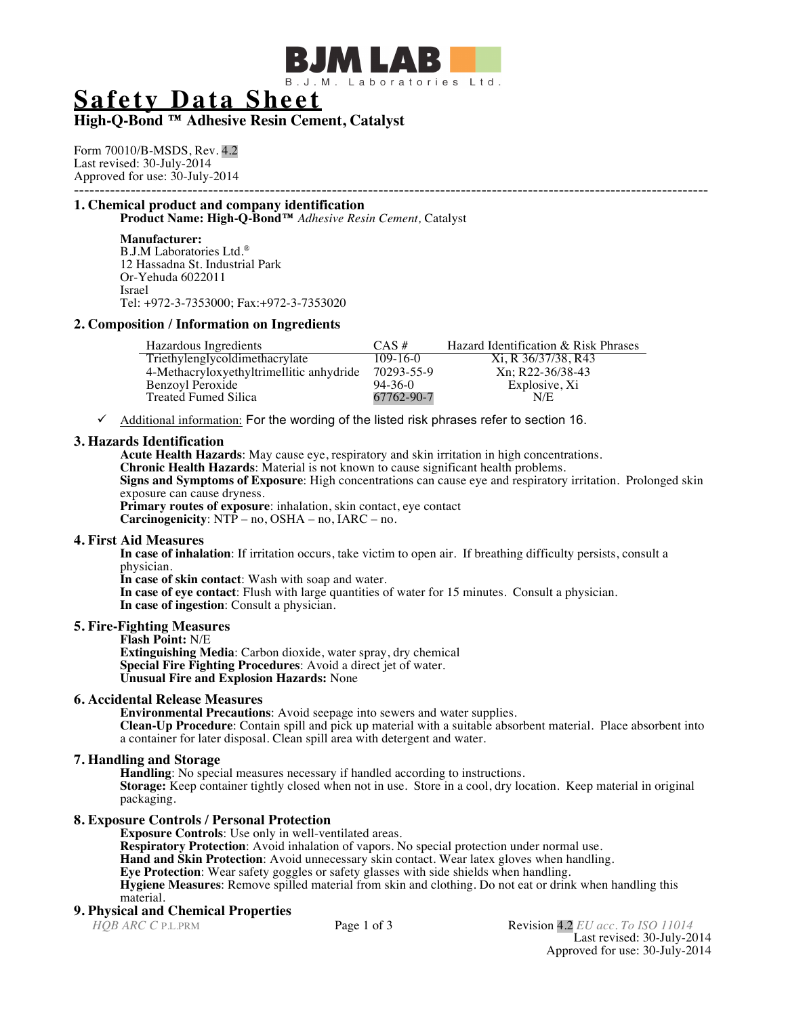

# **Safety Data Sheet**

## **High-Q-Bond ™ Adhesive Resin Cement, Catalyst**

Form 70010/B-MSDS, Rev. 4.2 Last revised: 30-July-2014 Approved for use: 30-July-2014 ---------------------------------------------------------------------------------------------------------------------------

### **1. Chemical product and company identification**

**Product Name: High-Q-Bond™** *Adhesive Resin Cement,* Catalyst

### **Manufacturer:**

B.J.M Laboratories Ltd.® 12 Hassadna St. Industrial Park Or-Yehuda 6022011 Israel Tel: +972-3-7353000; Fax:+972-3-7353020

### **2. Composition / Information on Ingredients**

| Hazardous Ingredients                    | $CAS \#$       | Hazard Identification & Risk Phrases |
|------------------------------------------|----------------|--------------------------------------|
| Triethylenglycoldimethacrylate           | $109 - 16 - 0$ | Xi, R 36/37/38, R43                  |
| 4-Methacryloxyethyltrimellitic anhydride | 70293-55-9     | Xn: R22-36/38-43                     |
| Benzoyl Peroxide                         | 94-36-0        | Explosive, Xi                        |
| Treated Fumed Silica                     | 67762-90-7     | N/E                                  |

 $\checkmark$  Additional information: For the wording of the listed risk phrases refer to section 16.

### **3. Hazards Identification**

**Acute Health Hazards**: May cause eye, respiratory and skin irritation in high concentrations.

**Chronic Health Hazards**: Material is not known to cause significant health problems.

**Signs and Symptoms of Exposure**: High concentrations can cause eye and respiratory irritation. Prolonged skin exposure can cause dryness.

**Primary routes of exposure**: inhalation, skin contact, eye contact **Carcinogenicity**: NTP – no, OSHA – no, IARC – no.

### **4. First Aid Measures**

**In case of inhalation**: If irritation occurs, take victim to open air. If breathing difficulty persists, consult a physician.

**In case of skin contact**: Wash with soap and water.

**In case of eye contact**: Flush with large quantities of water for 15 minutes. Consult a physician. **In case of ingestion**: Consult a physician.

### **5. Fire-Fighting Measures**

**Flash Point:** N/E **Extinguishing Media**: Carbon dioxide, water spray, dry chemical **Special Fire Fighting Procedures**: Avoid a direct jet of water. **Unusual Fire and Explosion Hazards:** None

### **6. Accidental Release Measures**

**Environmental Precautions**: Avoid seepage into sewers and water supplies. **Clean-Up Procedure**: Contain spill and pick up material with a suitable absorbent material. Place absorbent into a container for later disposal. Clean spill area with detergent and water.

### **7. Handling and Storage**

**Handling**: No special measures necessary if handled according to instructions. **Storage:** Keep container tightly closed when not in use. Store in a cool, dry location. Keep material in original packaging.

### **8. Exposure Controls / Personal Protection**

**Exposure Controls**: Use only in well-ventilated areas.

**Respiratory Protection**: Avoid inhalation of vapors. No special protection under normal use.

**Hand and Skin Protection**: Avoid unnecessary skin contact. Wear latex gloves when handling.

**Eye Protection**: Wear safety goggles or safety glasses with side shields when handling.

**Hygiene Measures**: Remove spilled material from skin and clothing. Do not eat or drink when handling this

material.

### **9. Physical and Chemical Properties**

*HQB ARC C P.L.PRM* **Page 1 of 3** Revision 4.2 *EU acc. To ISO 11014* Last revised: 30-July-2014 Approved for use: 30-July-2014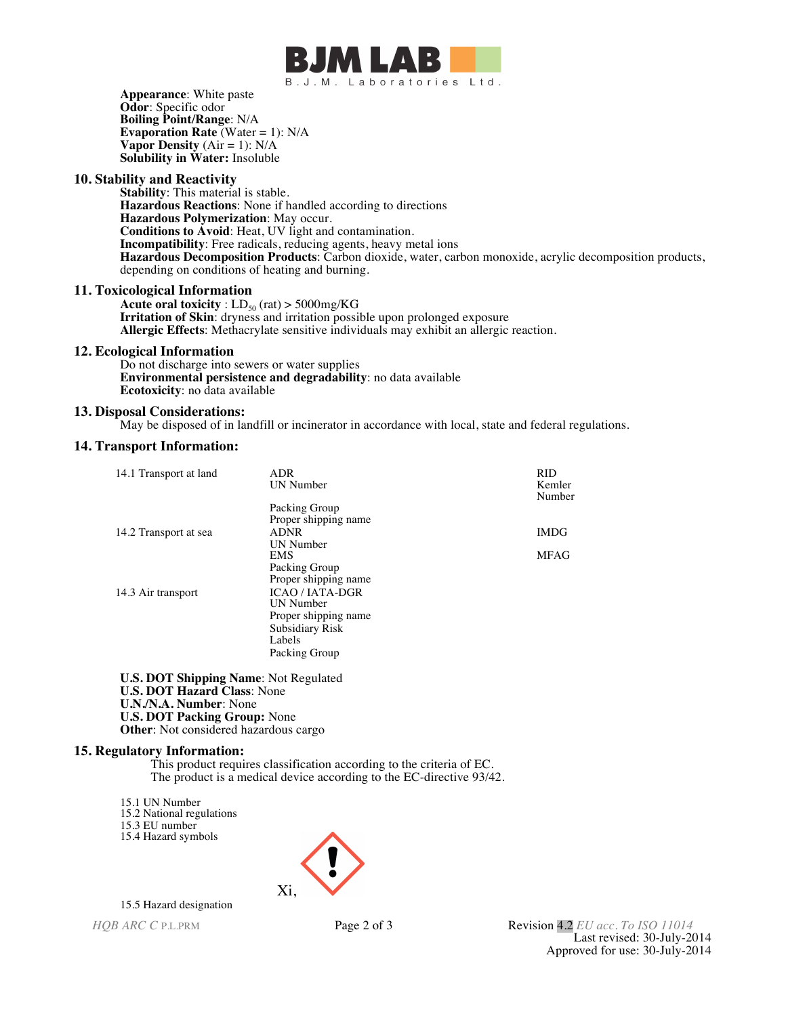

**Appearance**: White paste **Odor**: Specific odor **Boiling Point/Range**: N/A **Evaporation Rate** (Water = 1): N/A **Vapor Density**  $(Air = 1)$ :  $N/A$ **Solubility in Water:** Insoluble

### **10. Stability and Reactivity**

**Stability**: This material is stable. Hazardous Reactions: None if handled according to directions **Hazardous Polymerization**: May occur. **Conditions to Avoid**: Heat, UV light and contamination. **Incompatibility**: Free radicals, reducing agents, heavy metal ions **Hazardous Decomposition Products**: Carbon dioxide, water, carbon monoxide, acrylic decomposition products, depending on conditions of heating and burning.

#### **11. Toxicological Information**

**Acute oral toxicity** :  $LD_{50}$  (rat) > 5000mg/KG **Irritation of Skin**: dryness and irritation possible upon prolonged exposure **Allergic Effects**: Methacrylate sensitive individuals may exhibit an allergic reaction.

### **12. Ecological Information**

Do not discharge into sewers or water supplies **Environmental persistence and degradability**: no data available **Ecotoxicity**: no data available

### **13. Disposal Considerations:**

May be disposed of in landfill or incinerator in accordance with local, state and federal regulations.

### **14. Transport Information:**

| 14.1 Transport at land | <b>ADR</b><br><b>UN Number</b> | <b>RID</b><br>Kemler<br>Number |
|------------------------|--------------------------------|--------------------------------|
|                        | Packing Group                  |                                |
|                        | Proper shipping name           |                                |
| 14.2 Transport at sea  | <b>ADNR</b>                    | <b>IMDG</b>                    |
|                        | <b>UN Number</b>               |                                |
|                        | <b>EMS</b>                     | <b>MFAG</b>                    |
|                        | Packing Group                  |                                |
|                        | Proper shipping name           |                                |
| 14.3 Air transport     | <b>ICAO/IATA-DGR</b>           |                                |
|                        | <b>UN Number</b>               |                                |
|                        | Proper shipping name           |                                |
|                        | Subsidiary Risk                |                                |
|                        | Labels                         |                                |
|                        | Packing Group                  |                                |
|                        |                                |                                |

**U.S. DOT Shipping Name**: Not Regulated **U.S. DOT Hazard Class**: None **U.N./N.A. Number**: None **U.S. DOT Packing Group:** None **Other**: Not considered hazardous cargo

### **15. Regulatory Information:**

This product requires classification according to the criteria of EC. The product is a medical device according to the EC-directive 93/42.

15.1 UN Number

15.2 National regulations 15.3 EU number

15.4 Hazard symbols



### 15.5 Hazard designation

*HQB ARC C P.L.PRM* **Page 2 of 3** Revision 4.2 *EU acc. To ISO 11014* Last revised: 30-July-2014 Approved for use: 30-July-2014